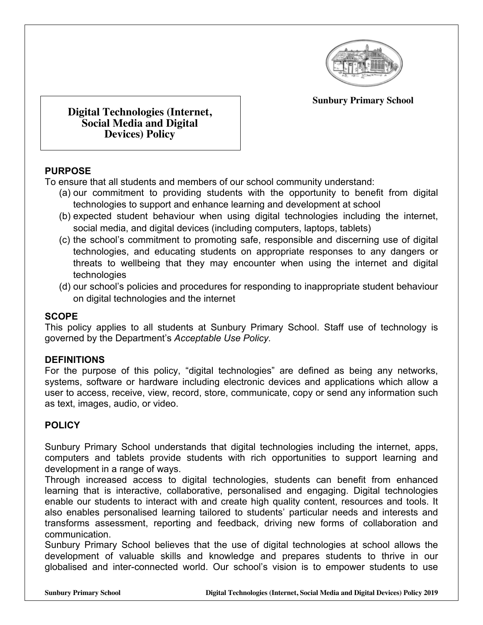

**Sunbury Primary School**

**Digital Technologies (Internet, Social Media and Digital Devices) Policy**

## **PURPOSE**

To ensure that all students and members of our school community understand:

- (a) our commitment to providing students with the opportunity to benefit from digital technologies to support and enhance learning and development at school
- (b) expected student behaviour when using digital technologies including the internet, social media, and digital devices (including computers, laptops, tablets)
- (c) the school's commitment to promoting safe, responsible and discerning use of digital technologies, and educating students on appropriate responses to any dangers or threats to wellbeing that they may encounter when using the internet and digital technologies
- (d) our school's policies and procedures for responding to inappropriate student behaviour on digital technologies and the internet

### **SCOPE**

This policy applies to all students at Sunbury Primary School. Staff use of technology is governed by the Department's *Acceptable Use Policy.*

### **DEFINITIONS**

For the purpose of this policy, "digital technologies" are defined as being any networks, systems, software or hardware including electronic devices and applications which allow a user to access, receive, view, record, store, communicate, copy or send any information such as text, images, audio, or video.

## **POLICY**

Sunbury Primary School understands that digital technologies including the internet, apps, computers and tablets provide students with rich opportunities to support learning and development in a range of ways.

Through increased access to digital technologies, students can benefit from enhanced learning that is interactive, collaborative, personalised and engaging. Digital technologies enable our students to interact with and create high quality content, resources and tools. It also enables personalised learning tailored to students' particular needs and interests and transforms assessment, reporting and feedback, driving new forms of collaboration and communication.

Sunbury Primary School believes that the use of digital technologies at school allows the development of valuable skills and knowledge and prepares students to thrive in our globalised and inter-connected world. Our school's vision is to empower students to use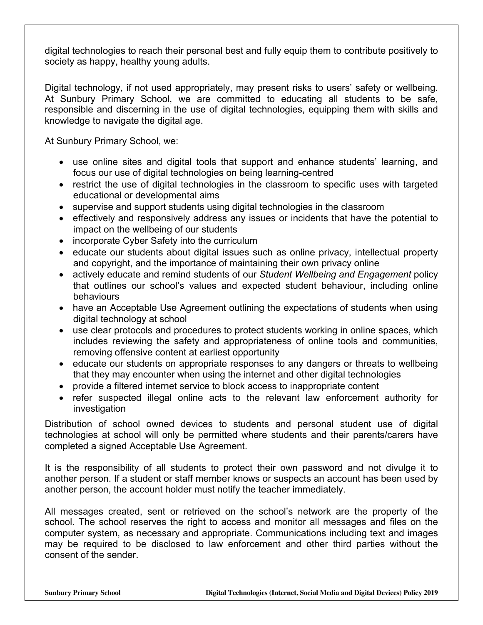digital technologies to reach their personal best and fully equip them to contribute positively to society as happy, healthy young adults.

Digital technology, if not used appropriately, may present risks to users' safety or wellbeing. At Sunbury Primary School, we are committed to educating all students to be safe, responsible and discerning in the use of digital technologies, equipping them with skills and knowledge to navigate the digital age.

At Sunbury Primary School, we:

- use online sites and digital tools that support and enhance students' learning, and focus our use of digital technologies on being learning-centred
- restrict the use of digital technologies in the classroom to specific uses with targeted educational or developmental aims
- supervise and support students using digital technologies in the classroom
- effectively and responsively address any issues or incidents that have the potential to impact on the wellbeing of our students
- incorporate Cyber Safety into the curriculum
- educate our students about digital issues such as online privacy, intellectual property and copyright, and the importance of maintaining their own privacy online
- actively educate and remind students of our *Student Wellbeing and Engagement* policy that outlines our school's values and expected student behaviour, including online behaviours
- have an Acceptable Use Agreement outlining the expectations of students when using digital technology at school
- use clear protocols and procedures to protect students working in online spaces, which includes reviewing the safety and appropriateness of online tools and communities, removing offensive content at earliest opportunity
- educate our students on appropriate responses to any dangers or threats to wellbeing that they may encounter when using the internet and other digital technologies
- provide a filtered internet service to block access to inappropriate content
- refer suspected illegal online acts to the relevant law enforcement authority for investigation

Distribution of school owned devices to students and personal student use of digital technologies at school will only be permitted where students and their parents/carers have completed a signed Acceptable Use Agreement.

It is the responsibility of all students to protect their own password and not divulge it to another person. If a student or staff member knows or suspects an account has been used by another person, the account holder must notify the teacher immediately.

All messages created, sent or retrieved on the school's network are the property of the school. The school reserves the right to access and monitor all messages and files on the computer system, as necessary and appropriate. Communications including text and images may be required to be disclosed to law enforcement and other third parties without the consent of the sender.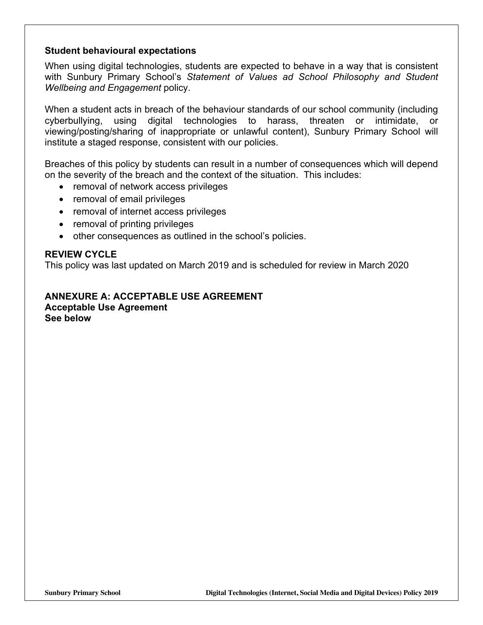#### **Student behavioural expectations**

When using digital technologies, students are expected to behave in a way that is consistent with Sunbury Primary School's *Statement of Values ad School Philosophy and Student Wellbeing and Engagement* policy.

When a student acts in breach of the behaviour standards of our school community (including cyberbullying, using digital technologies to harass, threaten or intimidate, or viewing/posting/sharing of inappropriate or unlawful content), Sunbury Primary School will institute a staged response, consistent with our policies.

Breaches of this policy by students can result in a number of consequences which will depend on the severity of the breach and the context of the situation. This includes:

- removal of network access privileges
- removal of email privileges
- removal of internet access privileges
- removal of printing privileges
- other consequences as outlined in the school's policies.

#### **REVIEW CYCLE**

This policy was last updated on March 2019 and is scheduled for review in March 2020

#### **ANNEXURE A: ACCEPTABLE USE AGREEMENT Acceptable Use Agreement See below**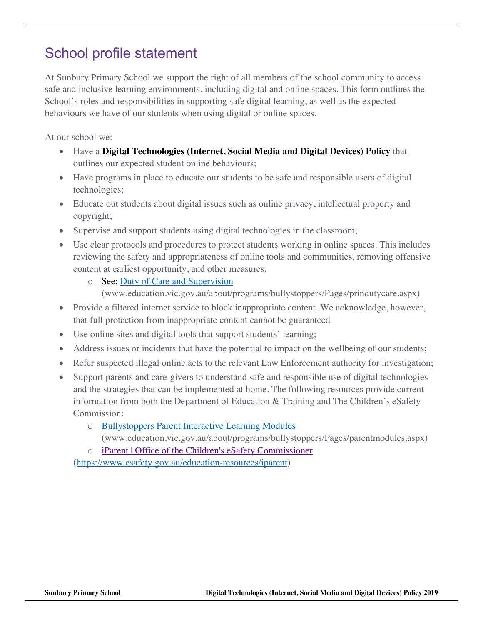# School profile statement

At Sunbury Primary School we support the right of all members of the school community to access safe and inclusive learning environments, including digital and online spaces. This form outlines the School's roles and responsibilities in supporting safe digital learning, as well as the expected behaviours we have of our students when using digital or online spaces.

At our school we:

- Have a **Digital Technologies (Internet, Social Media and Digital Devices) Policy** that outlines our expected student online behaviours;
- Have programs in place to educate our students to be safe and responsible users of digital technologies;
- Educate out students about digital issues such as online privacy, intellectual property and copyright;
- Supervise and support students using digital technologies in the classroom;
- Use clear protocols and procedures to protect students working in online spaces. This includes reviewing the safety and appropriateness of online tools and communities, removing offensive content at earliest opportunity, and other measures;
	- o See: Duty of Care and Supervision
		- (www.education.vic.gov.au/about/programs/bullystoppers/Pages/prindutycare.aspx)
- Provide a filtered internet service to block inappropriate content. We acknowledge, however, that full protection from inappropriate content cannot be guaranteed
- Use online sites and digital tools that support students' learning;
- Address issues or incidents that have the potential to impact on the wellbeing of our students;
- Refer suspected illegal online acts to the relevant Law Enforcement authority for investigation;
- Support parents and care-givers to understand safe and responsible use of digital technologies and the strategies that can be implemented at home. The following resources provide current information from both the Department of Education & Training and The Children's eSafety Commission:
	- o Bullystoppers Parent Interactive Learning Modules (www.education.vic.gov.au/about/programs/bullystoppers/Pages/parentmodules.aspx)
	- o iParent | Office of the Children's eSafety Commissioner

(https://www.esafety.gov.au/education-resources/iparent)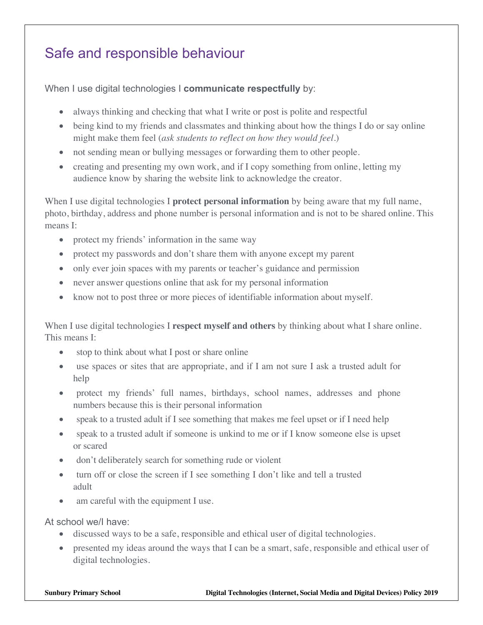# Safe and responsible behaviour

When I use digital technologies I **communicate respectfully** by:

- always thinking and checking that what I write or post is polite and respectful
- being kind to my friends and classmates and thinking about how the things I do or say online might make them feel (*ask students to reflect on how they would feel*.)
- not sending mean or bullying messages or forwarding them to other people.
- creating and presenting my own work, and if I copy something from online, letting my audience know by sharing the website link to acknowledge the creator.

When I use digital technologies I **protect personal information** by being aware that my full name, photo, birthday, address and phone number is personal information and is not to be shared online. This means I:

- protect my friends' information in the same way
- protect my passwords and don't share them with anyone except my parent
- only ever join spaces with my parents or teacher's guidance and permission
- never answer questions online that ask for my personal information
- know not to post three or more pieces of identifiable information about myself.

When I use digital technologies I **respect myself and others** by thinking about what I share online. This means I:

- stop to think about what I post or share online
- use spaces or sites that are appropriate, and if I am not sure I ask a trusted adult for help
- protect my friends' full names, birthdays, school names, addresses and phone numbers because this is their personal information
- speak to a trusted adult if I see something that makes me feel upset or if I need help
- speak to a trusted adult if someone is unkind to me or if I know someone else is upset or scared
- don't deliberately search for something rude or violent
- turn off or close the screen if I see something I don't like and tell a trusted adult
- am careful with the equipment I use.

At school we/I have:

- discussed ways to be a safe, responsible and ethical user of digital technologies.
- presented my ideas around the ways that I can be a smart, safe, responsible and ethical user of digital technologies.